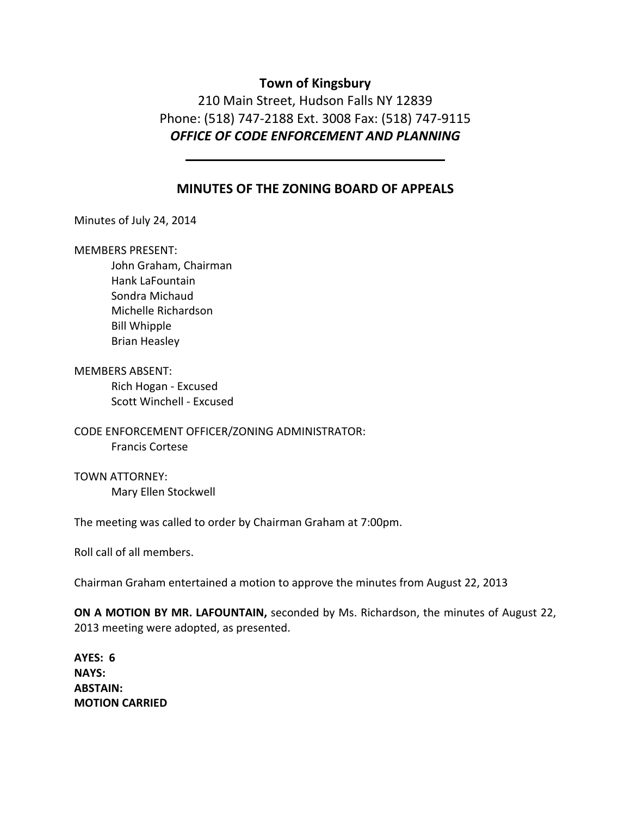## **Town of Kingsbury**

210 Main Street, Hudson Falls NY 12839 Phone: (518) 747‐2188 Ext. 3008 Fax: (518) 747‐9115 *OFFICE OF CODE ENFORCEMENT AND PLANNING*

### **MINUTES OF THE ZONING BOARD OF APPEALS**

Minutes of July 24, 2014

#### MEMBERS PRESENT:

John Graham, Chairman Hank LaFountain Sondra Michaud Michelle Richardson Bill Whipple Brian Heasley

MEMBERS ABSENT:

Rich Hogan ‐ Excused Scott Winchell ‐ Excused

CODE ENFORCEMENT OFFICER/ZONING ADMINISTRATOR: Francis Cortese

TOWN ATTORNEY: Mary Ellen Stockwell

The meeting was called to order by Chairman Graham at 7:00pm.

Roll call of all members.

Chairman Graham entertained a motion to approve the minutes from August 22, 2013

**ON A MOTION BY MR. LAFOUNTAIN,** seconded by Ms. Richardson, the minutes of August 22, 2013 meeting were adopted, as presented.

**AYES: 6 NAYS: ABSTAIN: MOTION CARRIED**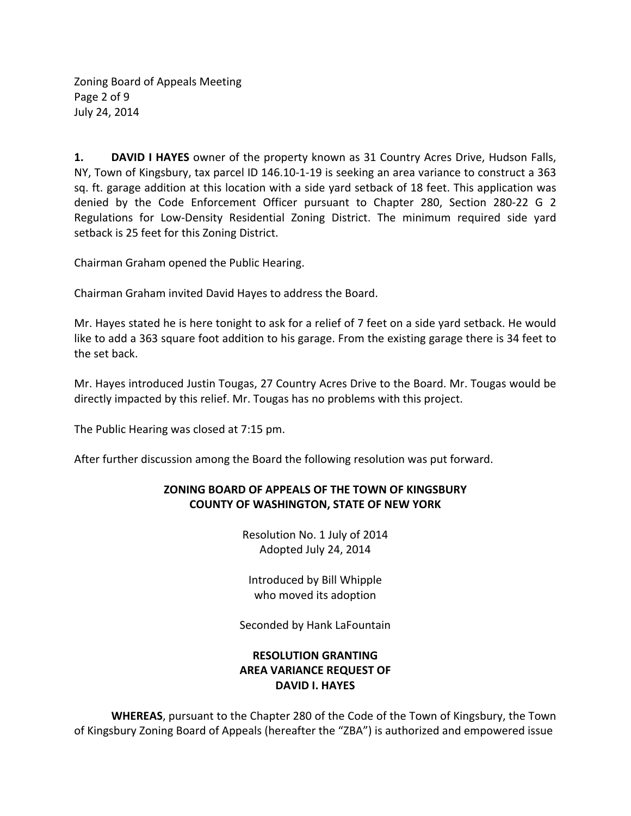Zoning Board of Appeals Meeting Page 2 of 9 July 24, 2014

**1. DAVID I HAYES** owner of the property known as 31 Country Acres Drive, Hudson Falls, NY, Town of Kingsbury, tax parcel ID 146.10‐1‐19 is seeking an area variance to construct a 363 sq. ft. garage addition at this location with a side yard setback of 18 feet. This application was denied by the Code Enforcement Officer pursuant to Chapter 280, Section 280‐22 G 2 Regulations for Low‐Density Residential Zoning District. The minimum required side yard setback is 25 feet for this Zoning District.

Chairman Graham opened the Public Hearing.

Chairman Graham invited David Hayes to address the Board.

Mr. Hayes stated he is here tonight to ask for a relief of 7 feet on a side yard setback. He would like to add a 363 square foot addition to his garage. From the existing garage there is 34 feet to the set back.

Mr. Hayes introduced Justin Tougas, 27 Country Acres Drive to the Board. Mr. Tougas would be directly impacted by this relief. Mr. Tougas has no problems with this project.

The Public Hearing was closed at 7:15 pm.

After further discussion among the Board the following resolution was put forward.

## **ZONING BOARD OF APPEALS OF THE TOWN OF KINGSBURY COUNTY OF WASHINGTON, STATE OF NEW YORK**

Resolution No. 1 July of 2014 Adopted July 24, 2014

Introduced by Bill Whipple who moved its adoption

Seconded by Hank LaFountain

# **RESOLUTION GRANTING AREA VARIANCE REQUEST OF DAVID I. HAYES**

**WHEREAS**, pursuant to the Chapter 280 of the Code of the Town of Kingsbury, the Town of Kingsbury Zoning Board of Appeals (hereafter the "ZBA") is authorized and empowered issue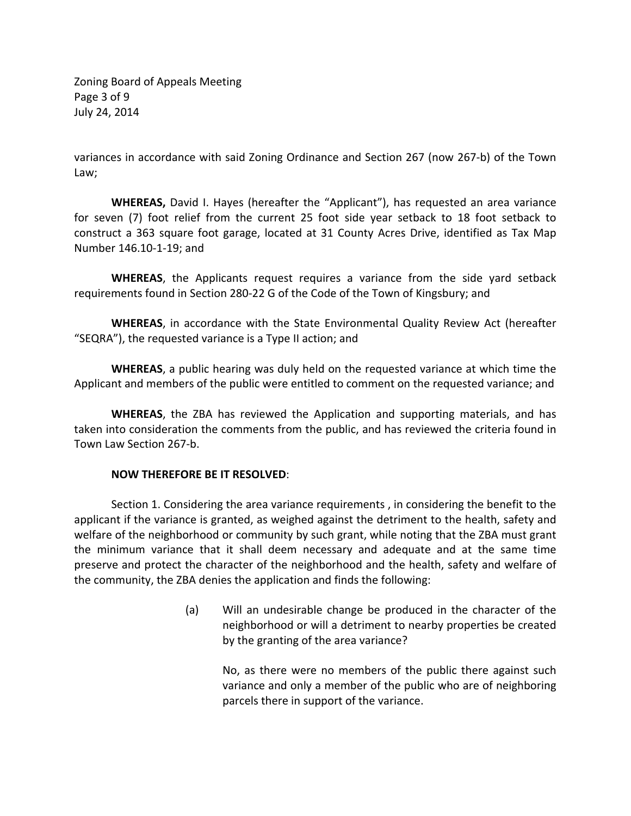Zoning Board of Appeals Meeting Page 3 of 9 July 24, 2014

variances in accordance with said Zoning Ordinance and Section 267 (now 267‐b) of the Town Law;

**WHEREAS,** David I. Hayes (hereafter the "Applicant"), has requested an area variance for seven (7) foot relief from the current 25 foot side year setback to 18 foot setback to construct a 363 square foot garage, located at 31 County Acres Drive, identified as Tax Map Number 146.10‐1‐19; and

**WHEREAS**, the Applicants request requires a variance from the side yard setback requirements found in Section 280‐22 G of the Code of the Town of Kingsbury; and

**WHEREAS**, in accordance with the State Environmental Quality Review Act (hereafter "SEQRA"), the requested variance is a Type II action; and

**WHEREAS**, a public hearing was duly held on the requested variance at which time the Applicant and members of the public were entitled to comment on the requested variance; and

**WHEREAS**, the ZBA has reviewed the Application and supporting materials, and has taken into consideration the comments from the public, and has reviewed the criteria found in Town Law Section 267‐b.

#### **NOW THEREFORE BE IT RESOLVED**:

Section 1. Considering the area variance requirements , in considering the benefit to the applicant if the variance is granted, as weighed against the detriment to the health, safety and welfare of the neighborhood or community by such grant, while noting that the ZBA must grant the minimum variance that it shall deem necessary and adequate and at the same time preserve and protect the character of the neighborhood and the health, safety and welfare of the community, the ZBA denies the application and finds the following:

> (a) Will an undesirable change be produced in the character of the neighborhood or will a detriment to nearby properties be created by the granting of the area variance?

No, as there were no members of the public there against such variance and only a member of the public who are of neighboring parcels there in support of the variance.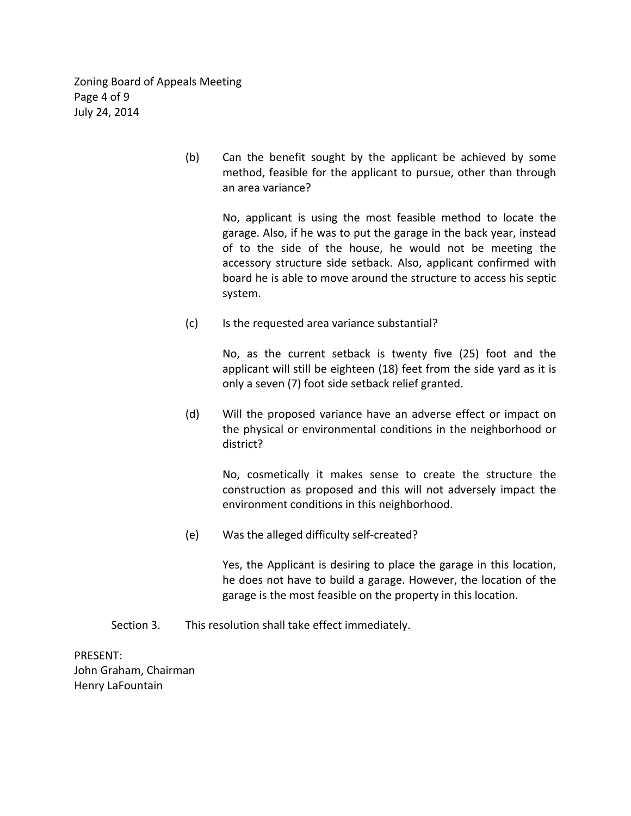Zoning Board of Appeals Meeting Page 4 of 9 July 24, 2014

> (b) Can the benefit sought by the applicant be achieved by some method, feasible for the applicant to pursue, other than through an area variance?

No, applicant is using the most feasible method to locate the garage. Also, if he was to put the garage in the back year, instead of to the side of the house, he would not be meeting the accessory structure side setback. Also, applicant confirmed with board he is able to move around the structure to access his septic system.

(c) Is the requested area variance substantial?

No, as the current setback is twenty five (25) foot and the applicant will still be eighteen (18) feet from the side yard as it is only a seven (7) foot side setback relief granted.

 (d) Will the proposed variance have an adverse effect or impact on the physical or environmental conditions in the neighborhood or district?

No, cosmetically it makes sense to create the structure the construction as proposed and this will not adversely impact the environment conditions in this neighborhood.

(e) Was the alleged difficulty self‐created?

Yes, the Applicant is desiring to place the garage in this location, he does not have to build a garage. However, the location of the garage is the most feasible on the property in this location.

Section 3. This resolution shall take effect immediately.

PRESENT: John Graham, Chairman Henry LaFountain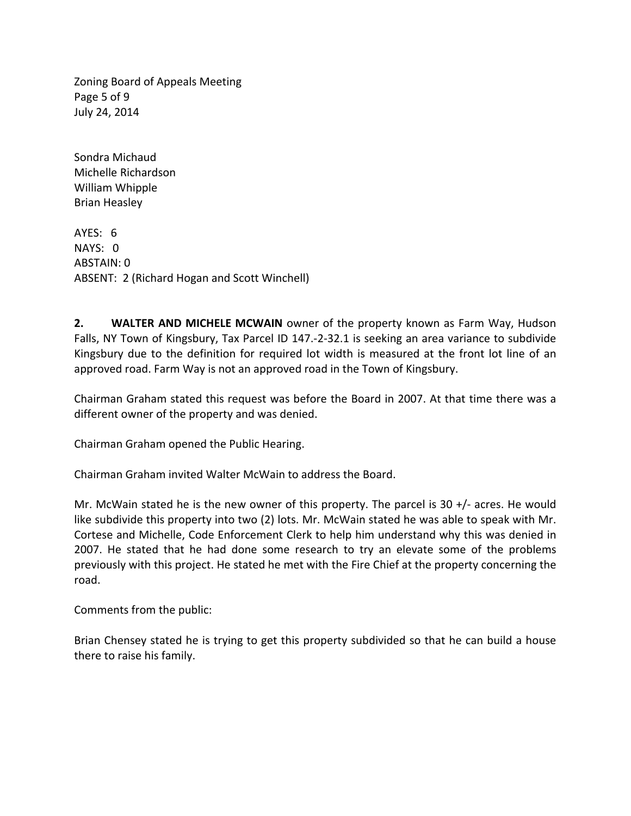Zoning Board of Appeals Meeting Page 5 of 9 July 24, 2014

Sondra Michaud Michelle Richardson William Whipple Brian Heasley

AYES: 6  $NAYS: 0$ ABSTAIN: 0 ABSENT: 2 (Richard Hogan and Scott Winchell)

**2. WALTER AND MICHELE MCWAIN** owner of the property known as Farm Way, Hudson Falls, NY Town of Kingsbury, Tax Parcel ID 147.‐2‐32.1 is seeking an area variance to subdivide Kingsbury due to the definition for required lot width is measured at the front lot line of an approved road. Farm Way is not an approved road in the Town of Kingsbury.

Chairman Graham stated this request was before the Board in 2007. At that time there was a different owner of the property and was denied.

Chairman Graham opened the Public Hearing.

Chairman Graham invited Walter McWain to address the Board.

Mr. McWain stated he is the new owner of this property. The parcel is  $30 +$ /- acres. He would like subdivide this property into two (2) lots. Mr. McWain stated he was able to speak with Mr. Cortese and Michelle, Code Enforcement Clerk to help him understand why this was denied in 2007. He stated that he had done some research to try an elevate some of the problems previously with this project. He stated he met with the Fire Chief at the property concerning the road.

Comments from the public:

Brian Chensey stated he is trying to get this property subdivided so that he can build a house there to raise his family.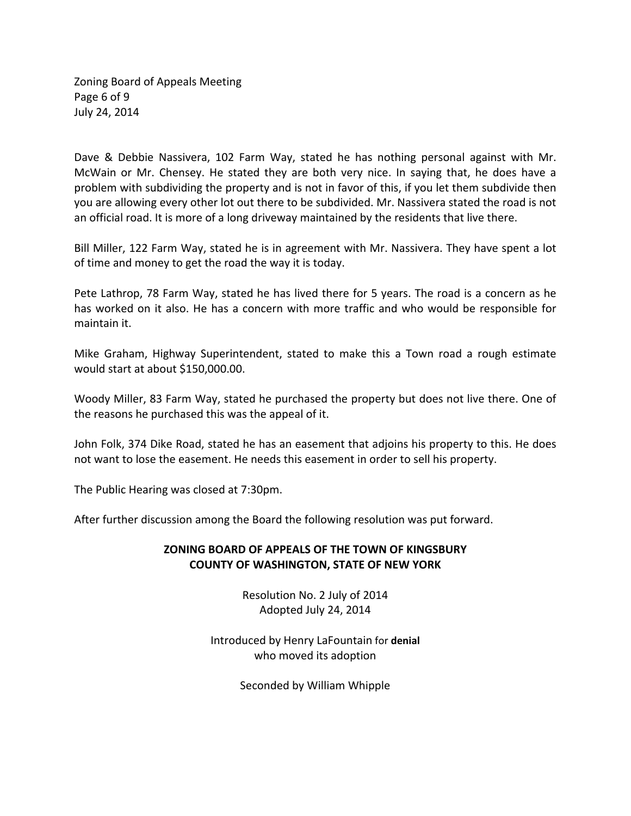Zoning Board of Appeals Meeting Page 6 of 9 July 24, 2014

Dave & Debbie Nassivera, 102 Farm Way, stated he has nothing personal against with Mr. McWain or Mr. Chensey. He stated they are both very nice. In saying that, he does have a problem with subdividing the property and is not in favor of this, if you let them subdivide then you are allowing every other lot out there to be subdivided. Mr. Nassivera stated the road is not an official road. It is more of a long driveway maintained by the residents that live there.

Bill Miller, 122 Farm Way, stated he is in agreement with Mr. Nassivera. They have spent a lot of time and money to get the road the way it is today.

Pete Lathrop, 78 Farm Way, stated he has lived there for 5 years. The road is a concern as he has worked on it also. He has a concern with more traffic and who would be responsible for maintain it.

Mike Graham, Highway Superintendent, stated to make this a Town road a rough estimate would start at about \$150,000.00.

Woody Miller, 83 Farm Way, stated he purchased the property but does not live there. One of the reasons he purchased this was the appeal of it.

John Folk, 374 Dike Road, stated he has an easement that adjoins his property to this. He does not want to lose the easement. He needs this easement in order to sell his property.

The Public Hearing was closed at 7:30pm.

After further discussion among the Board the following resolution was put forward.

#### **ZONING BOARD OF APPEALS OF THE TOWN OF KINGSBURY COUNTY OF WASHINGTON, STATE OF NEW YORK**

Resolution No. 2 July of 2014 Adopted July 24, 2014

Introduced by Henry LaFountain for **denial** who moved its adoption

Seconded by William Whipple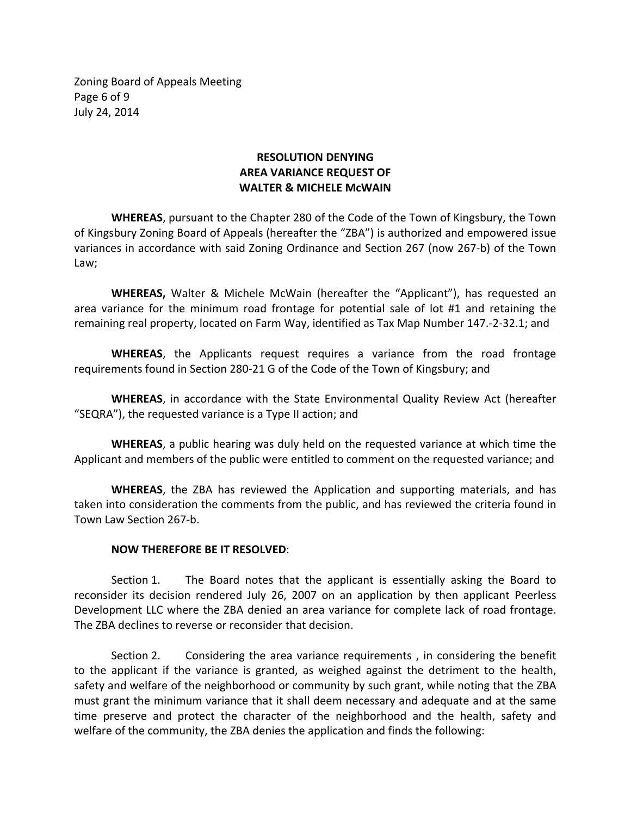Zoning Board of Appeals Meeting Page 6 of 9 July 24, 2014

## **RESOLUTION DENYING AREA VARIANCE REQUEST OF WALTER & MICHELE McWAIN**

**WHEREAS**, pursuant to the Chapter 280 of the Code of the Town of Kingsbury, the Town of Kingsbury Zoning Board of Appeals (hereafter the "ZBA") is authorized and empowered issue variances in accordance with said Zoning Ordinance and Section 267 (now 267‐b) of the Town Law;

**WHEREAS,** Walter & Michele McWain (hereafter the "Applicant"), has requested an area variance for the minimum road frontage for potential sale of lot #1 and retaining the remaining real property, located on Farm Way, identified as Tax Map Number 147.‐2‐32.1; and

**WHEREAS**, the Applicants request requires a variance from the road frontage requirements found in Section 280‐21 G of the Code of the Town of Kingsbury; and

**WHEREAS**, in accordance with the State Environmental Quality Review Act (hereafter "SEQRA"), the requested variance is a Type II action; and

**WHEREAS**, a public hearing was duly held on the requested variance at which time the Applicant and members of the public were entitled to comment on the requested variance; and

**WHEREAS**, the ZBA has reviewed the Application and supporting materials, and has taken into consideration the comments from the public, and has reviewed the criteria found in Town Law Section 267‐b.

#### **NOW THEREFORE BE IT RESOLVED**:

Section 1. The Board notes that the applicant is essentially asking the Board to reconsider its decision rendered July 26, 2007 on an application by then applicant Peerless Development LLC where the ZBA denied an area variance for complete lack of road frontage. The ZBA declines to reverse or reconsider that decision.

Section 2. Considering the area variance requirements , in considering the benefit to the applicant if the variance is granted, as weighed against the detriment to the health, safety and welfare of the neighborhood or community by such grant, while noting that the ZBA must grant the minimum variance that it shall deem necessary and adequate and at the same time preserve and protect the character of the neighborhood and the health, safety and welfare of the community, the ZBA denies the application and finds the following: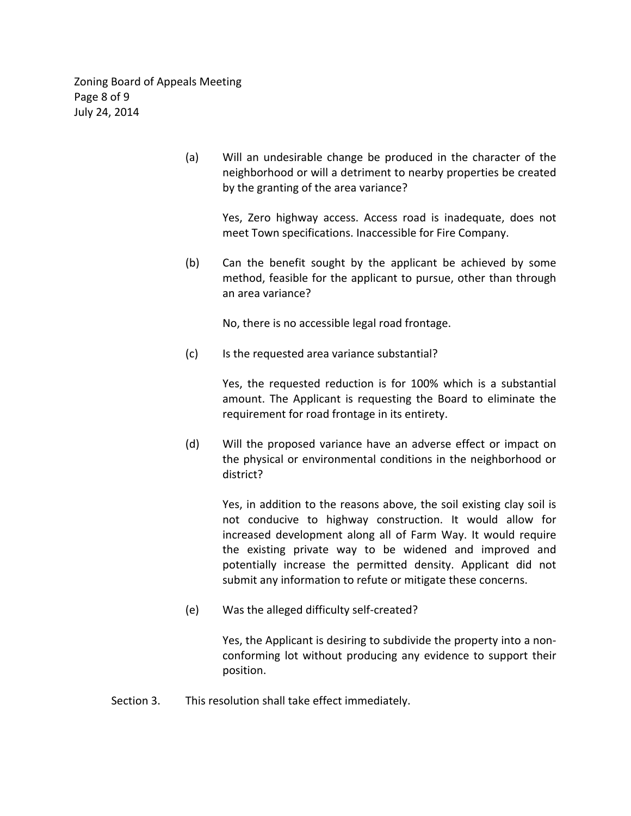Zoning Board of Appeals Meeting Page 8 of 9 July 24, 2014

> (a) Will an undesirable change be produced in the character of the neighborhood or will a detriment to nearby properties be created by the granting of the area variance?

> > Yes, Zero highway access. Access road is inadequate, does not meet Town specifications. Inaccessible for Fire Company.

 (b) Can the benefit sought by the applicant be achieved by some method, feasible for the applicant to pursue, other than through an area variance?

No, there is no accessible legal road frontage.

(c) Is the requested area variance substantial?

Yes, the requested reduction is for 100% which is a substantial amount. The Applicant is requesting the Board to eliminate the requirement for road frontage in its entirety.

 (d) Will the proposed variance have an adverse effect or impact on the physical or environmental conditions in the neighborhood or district?

> Yes, in addition to the reasons above, the soil existing clay soil is not conducive to highway construction. It would allow for increased development along all of Farm Way. It would require the existing private way to be widened and improved and potentially increase the permitted density. Applicant did not submit any information to refute or mitigate these concerns.

(e) Was the alleged difficulty self‐created?

Yes, the Applicant is desiring to subdivide the property into a non‐ conforming lot without producing any evidence to support their position.

Section 3. This resolution shall take effect immediately.